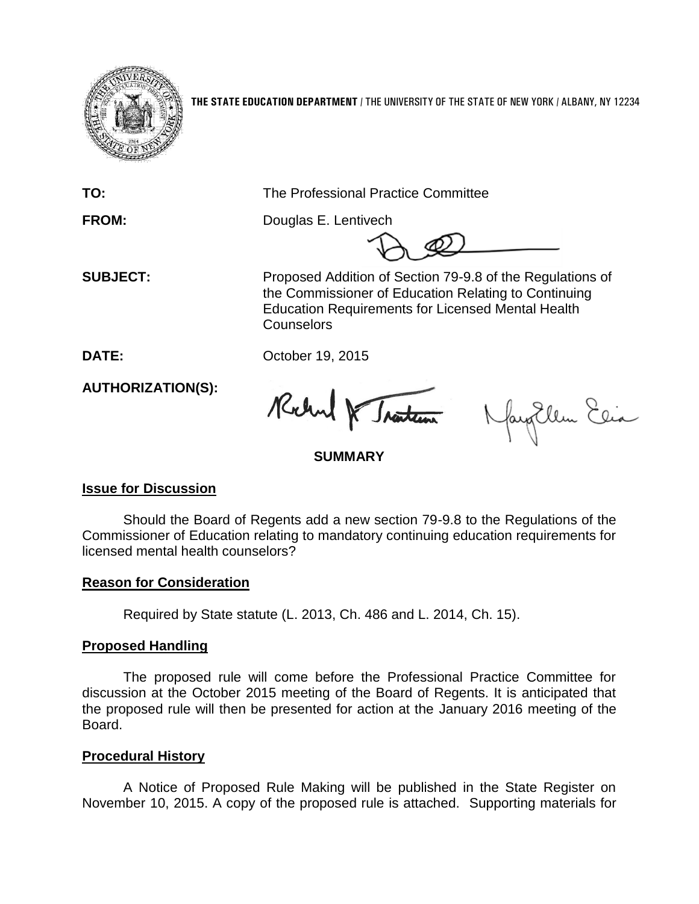

**THE STATE EDUCATION DEPARTMENT** / THE UNIVERSITY OF THE STATE OF NEW YORK / ALBANY, NY 12234

**TO:** The Professional Practice Committee

**FROM:** Douglas E. Lentivech

 **SUBJECT:** Proposed Addition of Section 79-9.8 of the Regulations of the Commissioner of Education Relating to Continuing Education Requirements for Licensed Mental Health **Counselors** 

**DATE:** October 19, 2015

**AUTHORIZATION(S):**

Rochand & Traiten

fayEllen Elia

**SUMMARY**

# **Issue for Discussion**

Should the Board of Regents add a new section 79-9.8 to the Regulations of the Commissioner of Education relating to mandatory continuing education requirements for licensed mental health counselors?

# **Reason for Consideration**

Required by State statute (L. 2013, Ch. 486 and L. 2014, Ch. 15).

# **Proposed Handling**

The proposed rule will come before the Professional Practice Committee for discussion at the October 2015 meeting of the Board of Regents. It is anticipated that the proposed rule will then be presented for action at the January 2016 meeting of the Board.

# **Procedural History**

A Notice of Proposed Rule Making will be published in the State Register on November 10, 2015. A copy of the proposed rule is attached. Supporting materials for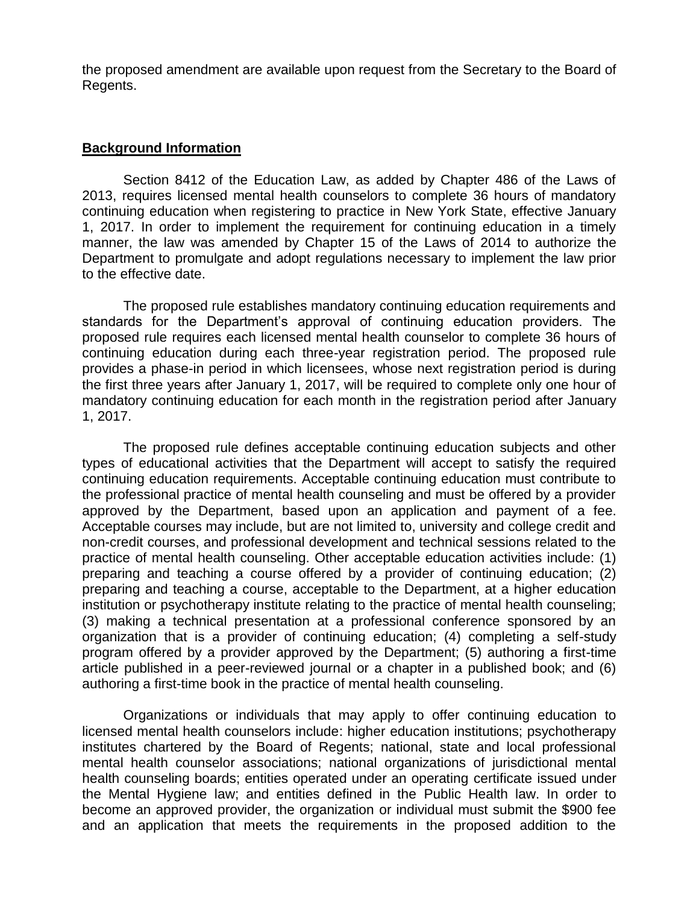the proposed amendment are available upon request from the Secretary to the Board of Regents.

### **Background Information**

Section 8412 of the Education Law, as added by Chapter 486 of the Laws of 2013, requires licensed mental health counselors to complete 36 hours of mandatory continuing education when registering to practice in New York State, effective January 1, 2017. In order to implement the requirement for continuing education in a timely manner, the law was amended by Chapter 15 of the Laws of 2014 to authorize the Department to promulgate and adopt regulations necessary to implement the law prior to the effective date.

The proposed rule establishes mandatory continuing education requirements and standards for the Department's approval of continuing education providers. The proposed rule requires each licensed mental health counselor to complete 36 hours of continuing education during each three-year registration period. The proposed rule provides a phase-in period in which licensees, whose next registration period is during the first three years after January 1, 2017, will be required to complete only one hour of mandatory continuing education for each month in the registration period after January 1, 2017.

The proposed rule defines acceptable continuing education subjects and other types of educational activities that the Department will accept to satisfy the required continuing education requirements. Acceptable continuing education must contribute to the professional practice of mental health counseling and must be offered by a provider approved by the Department, based upon an application and payment of a fee. Acceptable courses may include, but are not limited to, university and college credit and non-credit courses, and professional development and technical sessions related to the practice of mental health counseling. Other acceptable education activities include: (1) preparing and teaching a course offered by a provider of continuing education; (2) preparing and teaching a course, acceptable to the Department, at a higher education institution or psychotherapy institute relating to the practice of mental health counseling; (3) making a technical presentation at a professional conference sponsored by an organization that is a provider of continuing education; (4) completing a self-study program offered by a provider approved by the Department; (5) authoring a first-time article published in a peer-reviewed journal or a chapter in a published book; and (6) authoring a first-time book in the practice of mental health counseling.

Organizations or individuals that may apply to offer continuing education to licensed mental health counselors include: higher education institutions; psychotherapy institutes chartered by the Board of Regents; national, state and local professional mental health counselor associations; national organizations of jurisdictional mental health counseling boards; entities operated under an operating certificate issued under the Mental Hygiene law; and entities defined in the Public Health law. In order to become an approved provider, the organization or individual must submit the \$900 fee and an application that meets the requirements in the proposed addition to the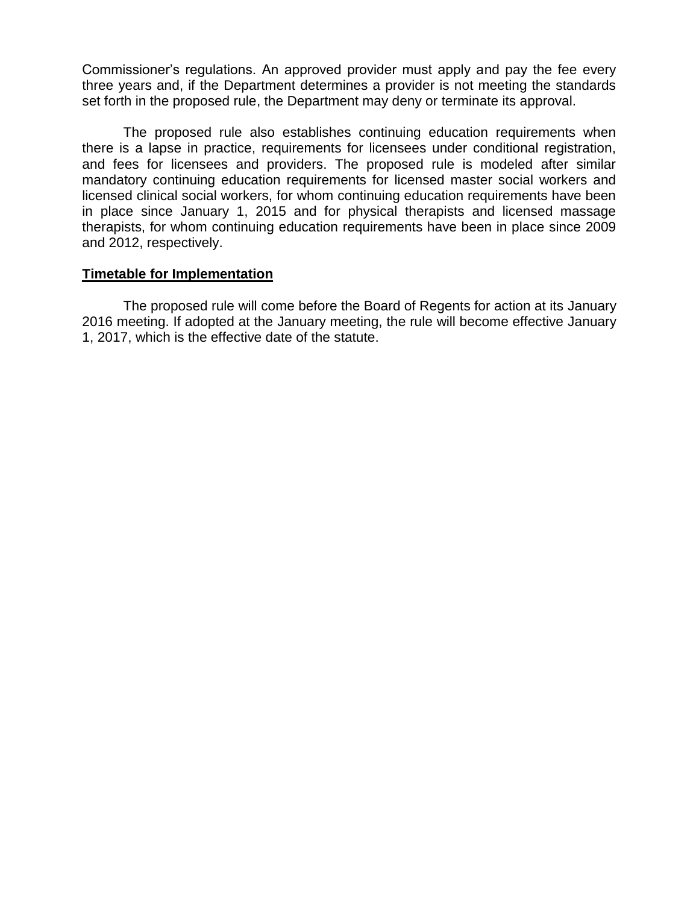Commissioner's regulations. An approved provider must apply and pay the fee every three years and, if the Department determines a provider is not meeting the standards set forth in the proposed rule, the Department may deny or terminate its approval.

The proposed rule also establishes continuing education requirements when there is a lapse in practice, requirements for licensees under conditional registration, and fees for licensees and providers. The proposed rule is modeled after similar mandatory continuing education requirements for licensed master social workers and licensed clinical social workers, for whom continuing education requirements have been in place since January 1, 2015 and for physical therapists and licensed massage therapists, for whom continuing education requirements have been in place since 2009 and 2012, respectively.

### **Timetable for Implementation**

The proposed rule will come before the Board of Regents for action at its January 2016 meeting. If adopted at the January meeting, the rule will become effective January 1, 2017, which is the effective date of the statute.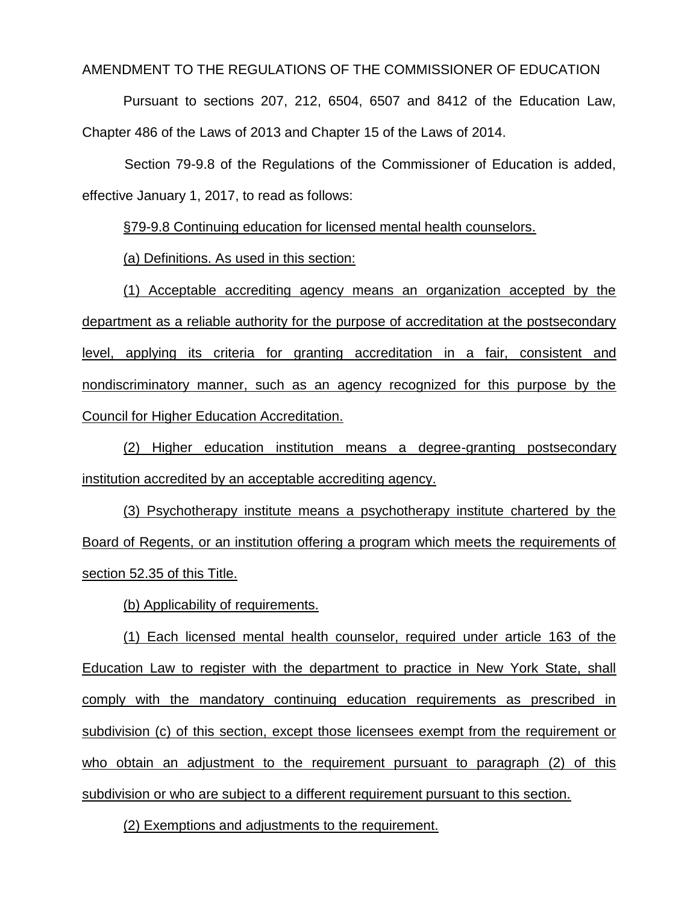AMENDMENT TO THE REGULATIONS OF THE COMMISSIONER OF EDUCATION

Pursuant to sections 207, 212, 6504, 6507 and 8412 of the Education Law, Chapter 486 of the Laws of 2013 and Chapter 15 of the Laws of 2014.

Section 79-9.8 of the Regulations of the Commissioner of Education is added, effective January 1, 2017, to read as follows:

§79-9.8 Continuing education for licensed mental health counselors.

(a) Definitions. As used in this section:

(1) Acceptable accrediting agency means an organization accepted by the department as a reliable authority for the purpose of accreditation at the postsecondary level, applying its criteria for granting accreditation in a fair, consistent and nondiscriminatory manner, such as an agency recognized for this purpose by the Council for Higher Education Accreditation.

(2) Higher education institution means a degree-granting postsecondary institution accredited by an acceptable accrediting agency.

(3) Psychotherapy institute means a psychotherapy institute chartered by the Board of Regents, or an institution offering a program which meets the requirements of section 52.35 of this Title.

(b) Applicability of requirements.

(1) Each licensed mental health counselor, required under article 163 of the Education Law to register with the department to practice in New York State, shall comply with the mandatory continuing education requirements as prescribed in subdivision (c) of this section, except those licensees exempt from the requirement or who obtain an adjustment to the requirement pursuant to paragraph (2) of this subdivision or who are subject to a different requirement pursuant to this section.

(2) Exemptions and adjustments to the requirement.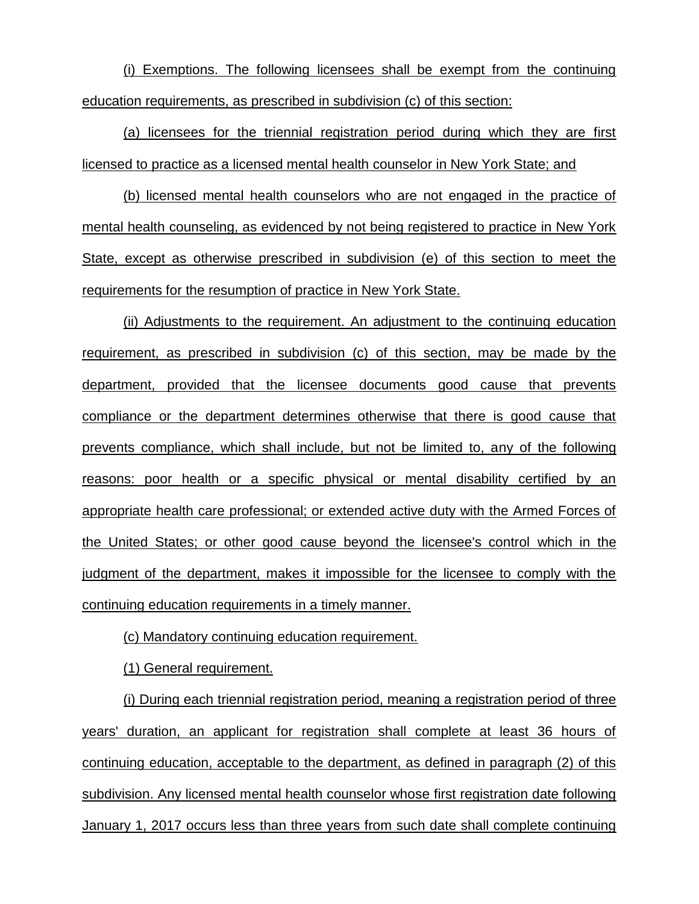(i) Exemptions. The following licensees shall be exempt from the continuing education requirements, as prescribed in subdivision (c) of this section:

(a) licensees for the triennial registration period during which they are first licensed to practice as a licensed mental health counselor in New York State; and

(b) licensed mental health counselors who are not engaged in the practice of mental health counseling, as evidenced by not being registered to practice in New York State, except as otherwise prescribed in subdivision (e) of this section to meet the requirements for the resumption of practice in New York State.

(ii) Adjustments to the requirement. An adjustment to the continuing education requirement, as prescribed in subdivision (c) of this section, may be made by the department, provided that the licensee documents good cause that prevents compliance or the department determines otherwise that there is good cause that prevents compliance, which shall include, but not be limited to, any of the following reasons: poor health or a specific physical or mental disability certified by an appropriate health care professional; or extended active duty with the Armed Forces of the United States; or other good cause beyond the licensee's control which in the judgment of the department, makes it impossible for the licensee to comply with the continuing education requirements in a timely manner.

(c) Mandatory continuing education requirement.

(1) General requirement.

(i) During each triennial registration period, meaning a registration period of three years' duration, an applicant for registration shall complete at least 36 hours of continuing education, acceptable to the department, as defined in paragraph (2) of this subdivision. Any licensed mental health counselor whose first registration date following January 1, 2017 occurs less than three years from such date shall complete continuing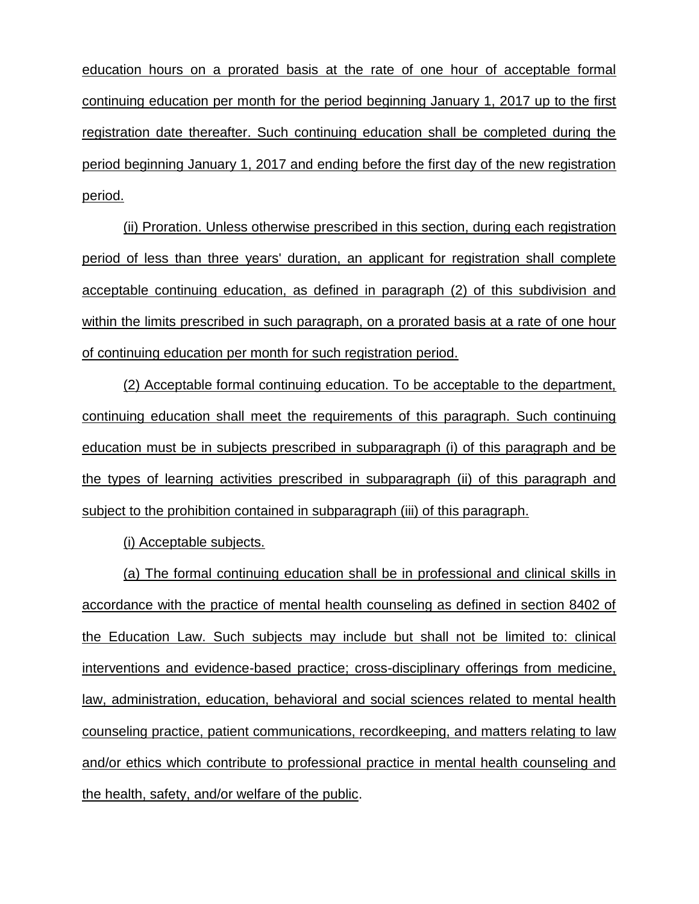education hours on a prorated basis at the rate of one hour of acceptable formal continuing education per month for the period beginning January 1, 2017 up to the first registration date thereafter. Such continuing education shall be completed during the period beginning January 1, 2017 and ending before the first day of the new registration period.

(ii) Proration. Unless otherwise prescribed in this section, during each registration period of less than three years' duration, an applicant for registration shall complete acceptable continuing education, as defined in paragraph (2) of this subdivision and within the limits prescribed in such paragraph, on a prorated basis at a rate of one hour of continuing education per month for such registration period.

(2) Acceptable formal continuing education. To be acceptable to the department, continuing education shall meet the requirements of this paragraph. Such continuing education must be in subjects prescribed in subparagraph (i) of this paragraph and be the types of learning activities prescribed in subparagraph (ii) of this paragraph and subject to the prohibition contained in subparagraph (iii) of this paragraph.

(i) Acceptable subjects.

(a) The formal continuing education shall be in professional and clinical skills in accordance with the practice of mental health counseling as defined in section 8402 of the Education Law. Such subjects may include but shall not be limited to: clinical interventions and evidence-based practice; cross-disciplinary offerings from medicine, law, administration, education, behavioral and social sciences related to mental health counseling practice, patient communications, recordkeeping, and matters relating to law and/or ethics which contribute to professional practice in mental health counseling and the health, safety, and/or welfare of the public.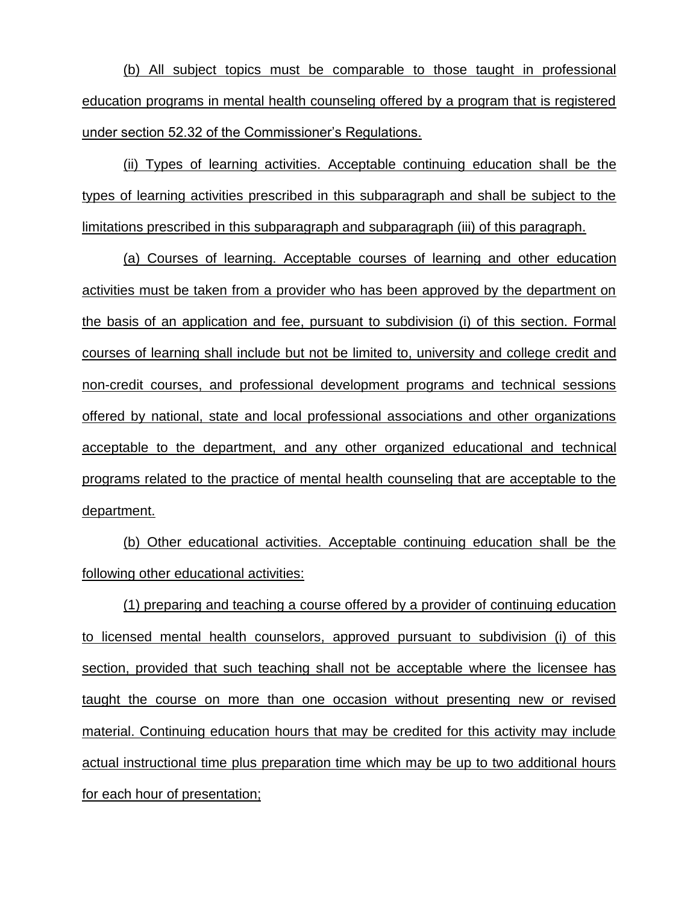(b) All subject topics must be comparable to those taught in professional education programs in mental health counseling offered by a program that is registered under section 52.32 of the Commissioner's Regulations.

(ii) Types of learning activities. Acceptable continuing education shall be the types of learning activities prescribed in this subparagraph and shall be subject to the limitations prescribed in this subparagraph and subparagraph (iii) of this paragraph.

(a) Courses of learning. Acceptable courses of learning and other education activities must be taken from a provider who has been approved by the department on the basis of an application and fee, pursuant to subdivision (i) of this section. Formal courses of learning shall include but not be limited to, university and college credit and non-credit courses, and professional development programs and technical sessions offered by national, state and local professional associations and other organizations acceptable to the department, and any other organized educational and technical programs related to the practice of mental health counseling that are acceptable to the department.

(b) Other educational activities. Acceptable continuing education shall be the following other educational activities:

(1) preparing and teaching a course offered by a provider of continuing education to licensed mental health counselors, approved pursuant to subdivision (i) of this section, provided that such teaching shall not be acceptable where the licensee has taught the course on more than one occasion without presenting new or revised material. Continuing education hours that may be credited for this activity may include actual instructional time plus preparation time which may be up to two additional hours for each hour of presentation;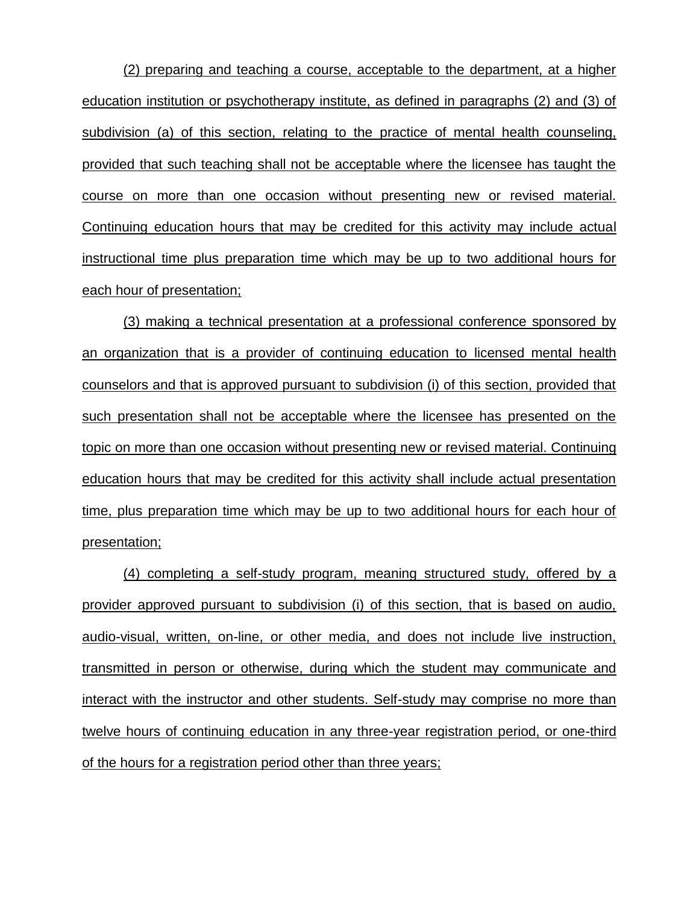(2) preparing and teaching a course, acceptable to the department, at a higher education institution or psychotherapy institute, as defined in paragraphs (2) and (3) of subdivision (a) of this section, relating to the practice of mental health counseling, provided that such teaching shall not be acceptable where the licensee has taught the course on more than one occasion without presenting new or revised material. Continuing education hours that may be credited for this activity may include actual instructional time plus preparation time which may be up to two additional hours for each hour of presentation;

(3) making a technical presentation at a professional conference sponsored by an organization that is a provider of continuing education to licensed mental health counselors and that is approved pursuant to subdivision (i) of this section, provided that such presentation shall not be acceptable where the licensee has presented on the topic on more than one occasion without presenting new or revised material. Continuing education hours that may be credited for this activity shall include actual presentation time, plus preparation time which may be up to two additional hours for each hour of presentation;

(4) completing a self-study program, meaning structured study, offered by a provider approved pursuant to subdivision (i) of this section, that is based on audio, audio-visual, written, on-line, or other media, and does not include live instruction, transmitted in person or otherwise, during which the student may communicate and interact with the instructor and other students. Self-study may comprise no more than twelve hours of continuing education in any three-year registration period, or one-third of the hours for a registration period other than three years;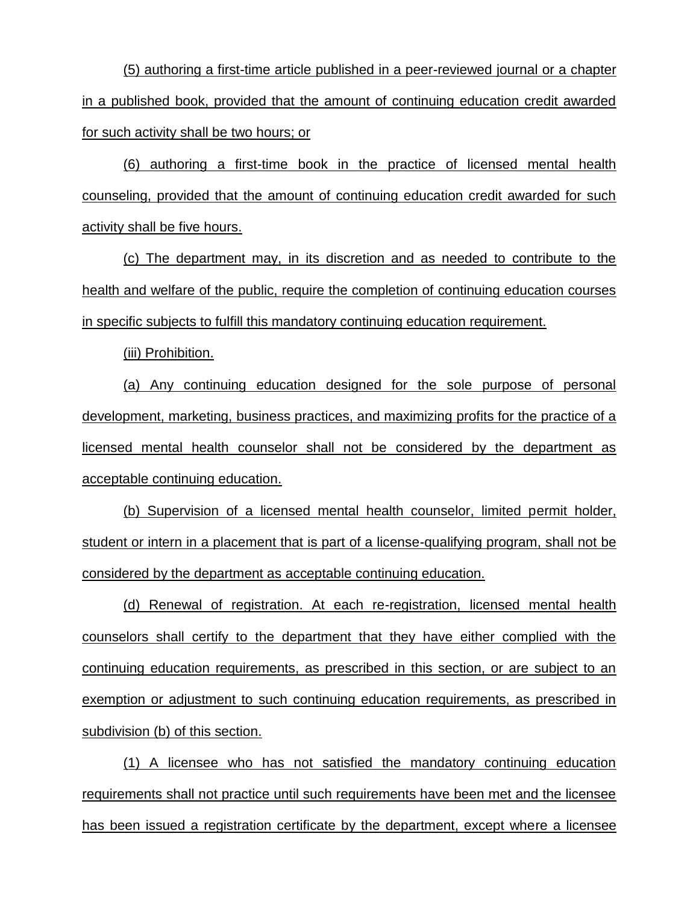(5) authoring a first-time article published in a peer-reviewed journal or a chapter in a published book, provided that the amount of continuing education credit awarded for such activity shall be two hours; or

(6) authoring a first-time book in the practice of licensed mental health counseling, provided that the amount of continuing education credit awarded for such activity shall be five hours.

(c) The department may, in its discretion and as needed to contribute to the health and welfare of the public, require the completion of continuing education courses in specific subjects to fulfill this mandatory continuing education requirement.

(iii) Prohibition.

(a) Any continuing education designed for the sole purpose of personal development, marketing, business practices, and maximizing profits for the practice of a licensed mental health counselor shall not be considered by the department as acceptable continuing education.

(b) Supervision of a licensed mental health counselor, limited permit holder, student or intern in a placement that is part of a license-qualifying program, shall not be considered by the department as acceptable continuing education.

(d) Renewal of registration. At each re-registration, licensed mental health counselors shall certify to the department that they have either complied with the continuing education requirements, as prescribed in this section, or are subject to an exemption or adjustment to such continuing education requirements, as prescribed in subdivision (b) of this section.

(1) A licensee who has not satisfied the mandatory continuing education requirements shall not practice until such requirements have been met and the licensee has been issued a registration certificate by the department, except where a licensee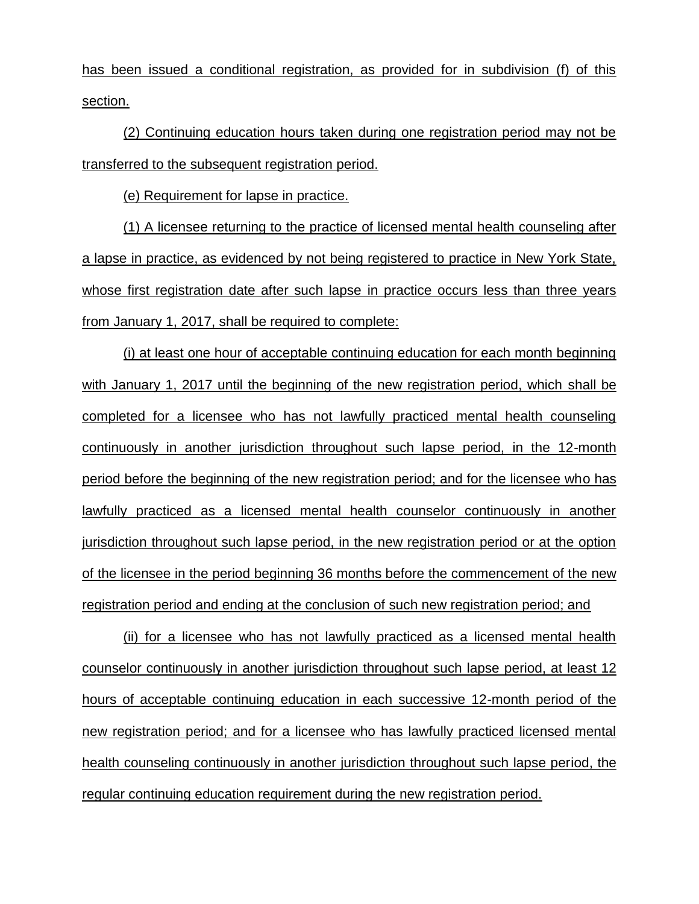has been issued a conditional registration, as provided for in subdivision (f) of this section.

(2) Continuing education hours taken during one registration period may not be transferred to the subsequent registration period.

(e) Requirement for lapse in practice.

(1) A licensee returning to the practice of licensed mental health counseling after a lapse in practice, as evidenced by not being registered to practice in New York State, whose first registration date after such lapse in practice occurs less than three years from January 1, 2017, shall be required to complete:

(i) at least one hour of acceptable continuing education for each month beginning with January 1, 2017 until the beginning of the new registration period, which shall be completed for a licensee who has not lawfully practiced mental health counseling continuously in another jurisdiction throughout such lapse period, in the 12-month period before the beginning of the new registration period; and for the licensee who has lawfully practiced as a licensed mental health counselor continuously in another jurisdiction throughout such lapse period, in the new registration period or at the option of the licensee in the period beginning 36 months before the commencement of the new registration period and ending at the conclusion of such new registration period; and

(ii) for a licensee who has not lawfully practiced as a licensed mental health counselor continuously in another jurisdiction throughout such lapse period, at least 12 hours of acceptable continuing education in each successive 12-month period of the new registration period; and for a licensee who has lawfully practiced licensed mental health counseling continuously in another jurisdiction throughout such lapse period, the regular continuing education requirement during the new registration period.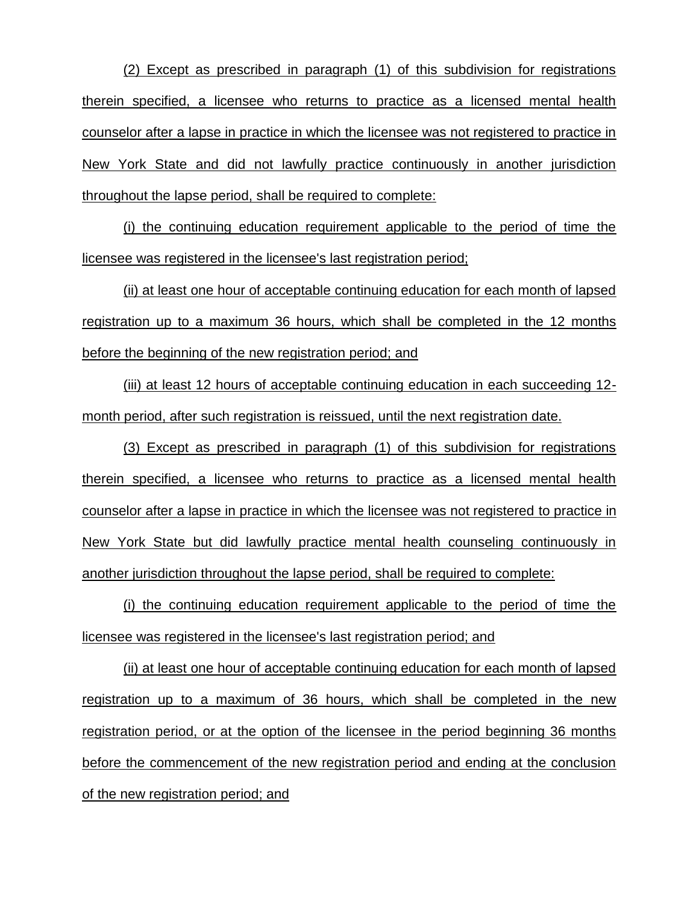(2) Except as prescribed in paragraph (1) of this subdivision for registrations therein specified, a licensee who returns to practice as a licensed mental health counselor after a lapse in practice in which the licensee was not registered to practice in New York State and did not lawfully practice continuously in another jurisdiction throughout the lapse period, shall be required to complete:

(i) the continuing education requirement applicable to the period of time the licensee was registered in the licensee's last registration period;

(ii) at least one hour of acceptable continuing education for each month of lapsed registration up to a maximum 36 hours, which shall be completed in the 12 months before the beginning of the new registration period; and

(iii) at least 12 hours of acceptable continuing education in each succeeding 12 month period, after such registration is reissued, until the next registration date.

(3) Except as prescribed in paragraph (1) of this subdivision for registrations therein specified, a licensee who returns to practice as a licensed mental health counselor after a lapse in practice in which the licensee was not registered to practice in New York State but did lawfully practice mental health counseling continuously in another jurisdiction throughout the lapse period, shall be required to complete:

(i) the continuing education requirement applicable to the period of time the licensee was registered in the licensee's last registration period; and

(ii) at least one hour of acceptable continuing education for each month of lapsed registration up to a maximum of 36 hours, which shall be completed in the new registration period, or at the option of the licensee in the period beginning 36 months before the commencement of the new registration period and ending at the conclusion of the new registration period; and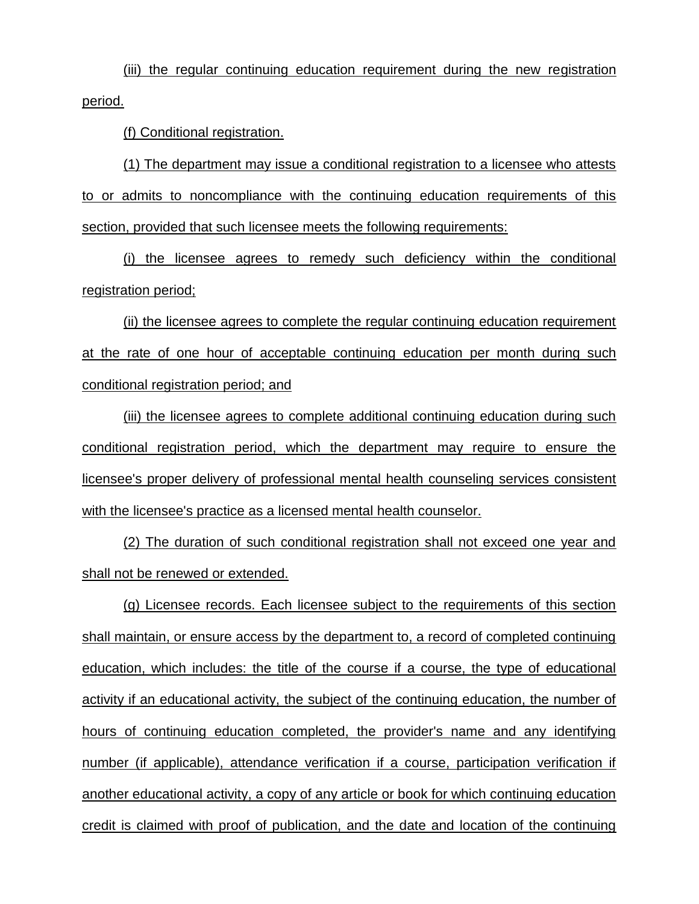(iii) the regular continuing education requirement during the new registration period.

(f) Conditional registration.

(1) The department may issue a conditional registration to a licensee who attests to or admits to noncompliance with the continuing education requirements of this section, provided that such licensee meets the following requirements:

(i) the licensee agrees to remedy such deficiency within the conditional registration period;

(ii) the licensee agrees to complete the regular continuing education requirement at the rate of one hour of acceptable continuing education per month during such conditional registration period; and

(iii) the licensee agrees to complete additional continuing education during such conditional registration period, which the department may require to ensure the licensee's proper delivery of professional mental health counseling services consistent with the licensee's practice as a licensed mental health counselor.

(2) The duration of such conditional registration shall not exceed one year and shall not be renewed or extended.

(g) Licensee records. Each licensee subject to the requirements of this section shall maintain, or ensure access by the department to, a record of completed continuing education, which includes: the title of the course if a course, the type of educational activity if an educational activity, the subject of the continuing education, the number of hours of continuing education completed, the provider's name and any identifying number (if applicable), attendance verification if a course, participation verification if another educational activity, a copy of any article or book for which continuing education credit is claimed with proof of publication, and the date and location of the continuing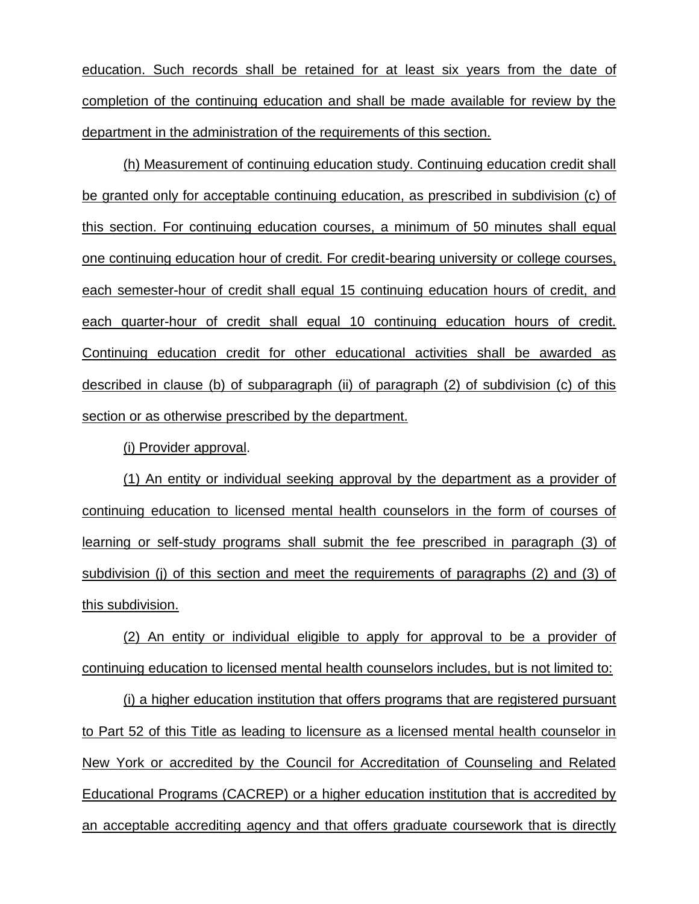education. Such records shall be retained for at least six years from the date of completion of the continuing education and shall be made available for review by the department in the administration of the requirements of this section.

(h) Measurement of continuing education study. Continuing education credit shall be granted only for acceptable continuing education, as prescribed in subdivision (c) of this section. For continuing education courses, a minimum of 50 minutes shall equal one continuing education hour of credit. For credit-bearing university or college courses, each semester-hour of credit shall equal 15 continuing education hours of credit, and each quarter-hour of credit shall equal 10 continuing education hours of credit. Continuing education credit for other educational activities shall be awarded as described in clause (b) of subparagraph (ii) of paragraph (2) of subdivision (c) of this section or as otherwise prescribed by the department.

(i) Provider approval.

(1) An entity or individual seeking approval by the department as a provider of continuing education to licensed mental health counselors in the form of courses of learning or self-study programs shall submit the fee prescribed in paragraph (3) of subdivision (j) of this section and meet the requirements of paragraphs (2) and (3) of this subdivision.

(2) An entity or individual eligible to apply for approval to be a provider of continuing education to licensed mental health counselors includes, but is not limited to:

(i) a higher education institution that offers programs that are registered pursuant to Part 52 of this Title as leading to licensure as a licensed mental health counselor in New York or accredited by the Council for Accreditation of Counseling and Related Educational Programs (CACREP) or a higher education institution that is accredited by an acceptable accrediting agency and that offers graduate coursework that is directly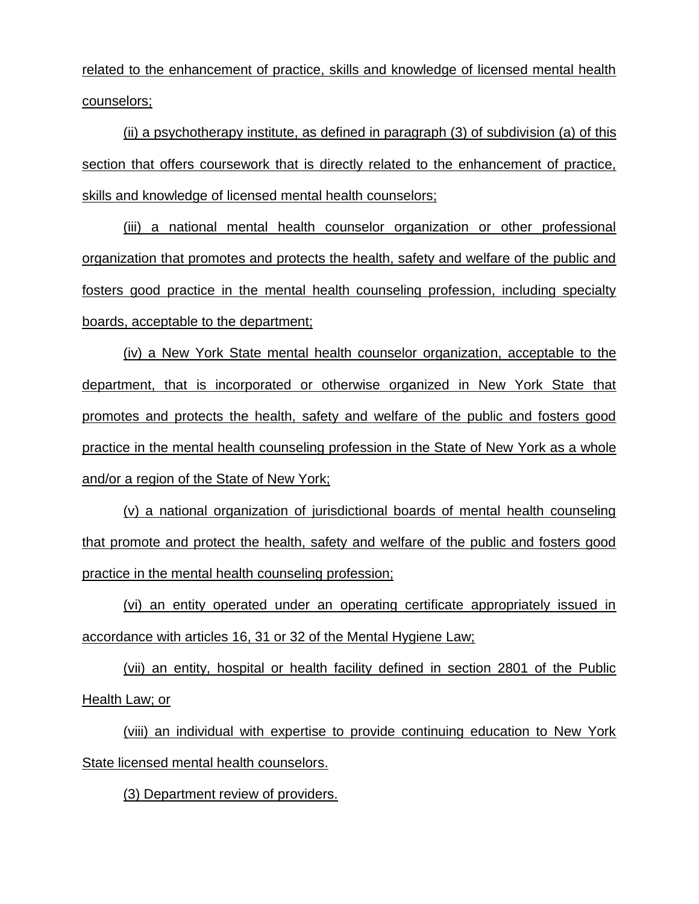related to the enhancement of practice, skills and knowledge of licensed mental health counselors;

(ii) a psychotherapy institute, as defined in paragraph (3) of subdivision (a) of this section that offers coursework that is directly related to the enhancement of practice, skills and knowledge of licensed mental health counselors;

(iii) a national mental health counselor organization or other professional organization that promotes and protects the health, safety and welfare of the public and fosters good practice in the mental health counseling profession, including specialty boards, acceptable to the department;

(iv) a New York State mental health counselor organization, acceptable to the department, that is incorporated or otherwise organized in New York State that promotes and protects the health, safety and welfare of the public and fosters good practice in the mental health counseling profession in the State of New York as a whole and/or a region of the State of New York;

(v) a national organization of jurisdictional boards of mental health counseling that promote and protect the health, safety and welfare of the public and fosters good practice in the mental health counseling profession;

(vi) an entity operated under an operating certificate appropriately issued in accordance with articles 16, 31 or 32 of the Mental Hygiene Law;

(vii) an entity, hospital or health facility defined in section 2801 of the Public Health Law; or

(viii) an individual with expertise to provide continuing education to New York State licensed mental health counselors.

(3) Department review of providers.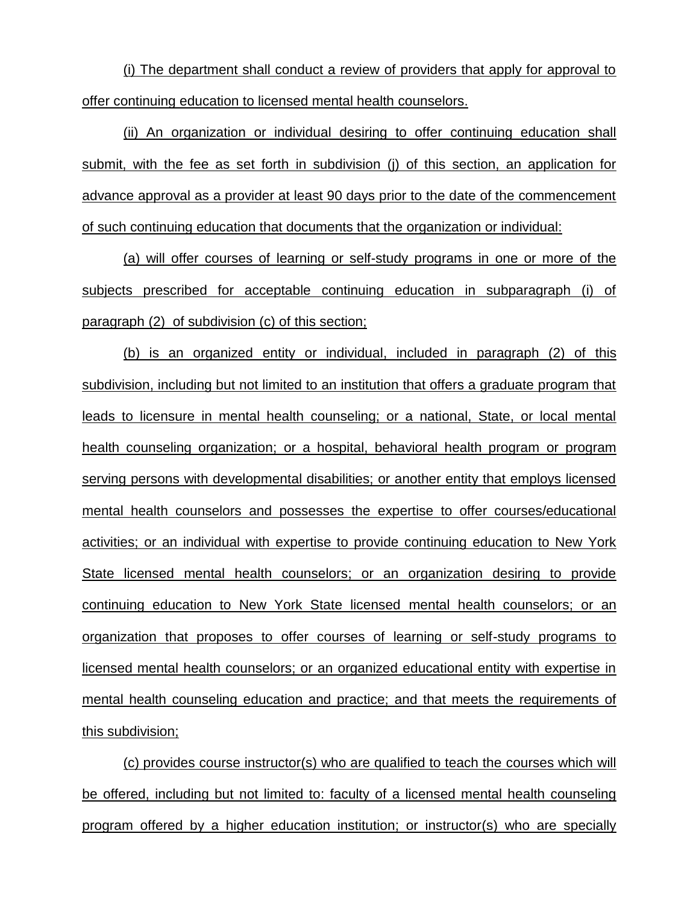(i) The department shall conduct a review of providers that apply for approval to offer continuing education to licensed mental health counselors.

(ii) An organization or individual desiring to offer continuing education shall submit, with the fee as set forth in subdivision (j) of this section, an application for advance approval as a provider at least 90 days prior to the date of the commencement of such continuing education that documents that the organization or individual:

(a) will offer courses of learning or self-study programs in one or more of the subjects prescribed for acceptable continuing education in subparagraph (i) of paragraph (2) of subdivision (c) of this section;

(b) is an organized entity or individual, included in paragraph (2) of this subdivision, including but not limited to an institution that offers a graduate program that leads to licensure in mental health counseling; or a national, State, or local mental health counseling organization; or a hospital, behavioral health program or program serving persons with developmental disabilities; or another entity that employs licensed mental health counselors and possesses the expertise to offer courses/educational activities; or an individual with expertise to provide continuing education to New York State licensed mental health counselors; or an organization desiring to provide continuing education to New York State licensed mental health counselors; or an organization that proposes to offer courses of learning or self-study programs to licensed mental health counselors; or an organized educational entity with expertise in mental health counseling education and practice; and that meets the requirements of this subdivision;

(c) provides course instructor(s) who are qualified to teach the courses which will be offered, including but not limited to: faculty of a licensed mental health counseling program offered by a higher education institution; or instructor(s) who are specially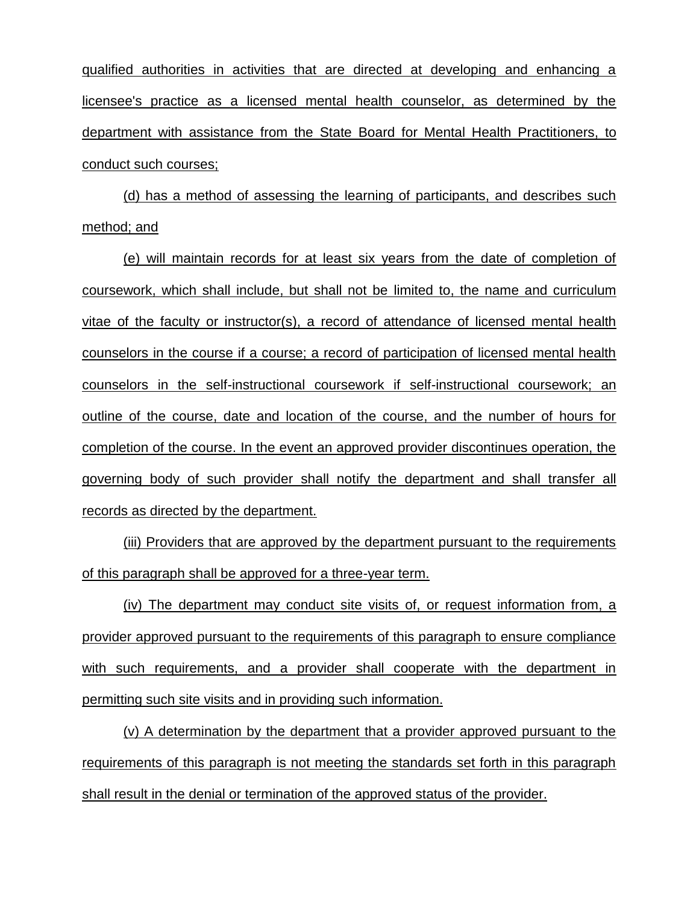qualified authorities in activities that are directed at developing and enhancing a licensee's practice as a licensed mental health counselor, as determined by the department with assistance from the State Board for Mental Health Practitioners, to conduct such courses;

(d) has a method of assessing the learning of participants, and describes such method; and

(e) will maintain records for at least six years from the date of completion of coursework, which shall include, but shall not be limited to, the name and curriculum vitae of the faculty or instructor(s), a record of attendance of licensed mental health counselors in the course if a course; a record of participation of licensed mental health counselors in the self-instructional coursework if self-instructional coursework; an outline of the course, date and location of the course, and the number of hours for completion of the course. In the event an approved provider discontinues operation, the governing body of such provider shall notify the department and shall transfer all records as directed by the department.

(iii) Providers that are approved by the department pursuant to the requirements of this paragraph shall be approved for a three-year term.

(iv) The department may conduct site visits of, or request information from, a provider approved pursuant to the requirements of this paragraph to ensure compliance with such requirements, and a provider shall cooperate with the department in permitting such site visits and in providing such information.

(v) A determination by the department that a provider approved pursuant to the requirements of this paragraph is not meeting the standards set forth in this paragraph shall result in the denial or termination of the approved status of the provider.